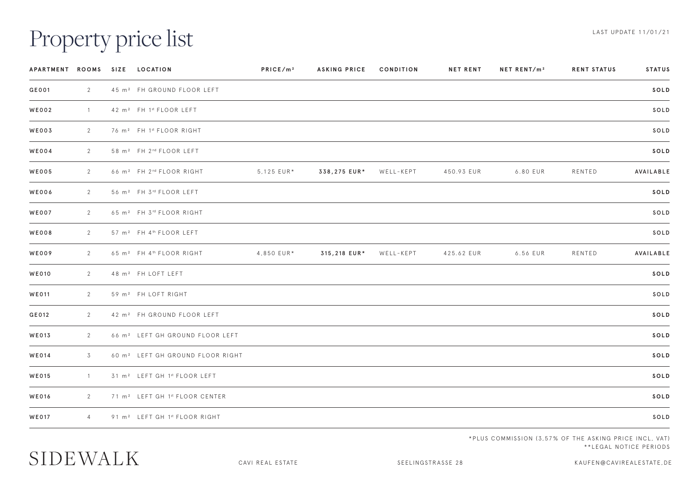## Property price list

| APARTMENT ROOMS SIZE LOCATION |                |                                                  | PRICE/m <sup>2</sup> | <b>ASKING PRICE</b> | CONDITION | <b>NET RENT</b> | NET RENT/m <sup>2</sup> | <b>RENT STATUS</b> | <b>STATUS</b> |
|-------------------------------|----------------|--------------------------------------------------|----------------------|---------------------|-----------|-----------------|-------------------------|--------------------|---------------|
| GE001                         | $\overline{2}$ | 45 m <sup>2</sup> FH GROUND FLOOR LEFT           |                      |                     |           |                 |                         |                    | SOLD          |
| <b>WE002</b>                  | $\sim$ 1       | 42 m <sup>2</sup> FH 1st FLOOR LEFT              |                      |                     |           |                 |                         |                    | SOLD          |
| WE003                         | 2              | 76 m <sup>2</sup> FH 1st FLOOR RIGHT             |                      |                     |           |                 |                         |                    | SOLD          |
| <b>WE004</b>                  | $\mathbf{2}$   | 58 m <sup>2</sup> FH 2 <sup>nd</sup> FLOOR LEFT  |                      |                     |           |                 |                         |                    | SOLD          |
| <b>WE005</b>                  | $\mathbf{2}$   | 66 m <sup>2</sup> FH 2 <sup>nd</sup> FLOOR RIGHT | 5,125 EUR*           | 338,275 EUR*        | WELL-KEPT | 450.93 EUR      | 6.80 EUR                | RENTED             | AVAILABLE     |
| WE006                         | $\overline{2}$ | 56 m <sup>2</sup> FH 3 <sup>rd</sup> FLOOR LEFT  |                      |                     |           |                 |                         |                    | SOLD          |
| <b>WE007</b>                  | $\mathbf{2}$   | 65 m <sup>2</sup> FH 3 <sup>rd</sup> FLOOR RIGHT |                      |                     |           |                 |                         |                    | SOLD          |
| <b>WE008</b>                  | $\overline{2}$ | 57 m <sup>2</sup> FH 4 <sup>th</sup> FLOOR LEFT  |                      |                     |           |                 |                         |                    | SOLD          |
| WE009                         | $2^{\circ}$    | 65 m <sup>2</sup> FH 4 <sup>th</sup> FLOOR RIGHT | 4,850 EUR*           | 315,218 EUR*        | WELL-KEPT | 425.62 EUR      | 6.56 EUR                | RENTED             | AVAILABLE     |
| <b>WE010</b>                  | $\mathbf{2}$   | 48 m <sup>2</sup> FH LOFT LEFT                   |                      |                     |           |                 |                         |                    | SOLD          |
| <b>WE011</b>                  | $2^{\circ}$    | 59 m <sup>2</sup> FH LOFT RIGHT                  |                      |                     |           |                 |                         |                    | SOLD          |
| GE012                         | $\overline{2}$ | 42 m <sup>2</sup> FH GROUND FLOOR LEFT           |                      |                     |           |                 |                         |                    | SOLD          |
| <b>WE013</b>                  | $\overline{2}$ | 66 m <sup>2</sup> LEFT GH GROUND FLOOR LEFT      |                      |                     |           |                 |                         |                    | SOLD          |
| <b>WE014</b>                  | 3              | 60 m <sup>2</sup> LEFT GH GROUND FLOOR RIGHT     |                      |                     |           |                 |                         |                    | SOLD          |
| <b>WE015</b>                  | $\overline{1}$ | 31 m <sup>2</sup> LEFT GH 1st FLOOR LEFT         |                      |                     |           |                 |                         |                    | SOLD          |
| <b>WE016</b>                  | $\mathbf{2}$   | 71 m <sup>2</sup> LEFT GH 1st FLOOR CENTER       |                      |                     |           |                 |                         |                    | SOLD          |
| <b>WE017</b>                  | $\overline{4}$ | 91 m <sup>2</sup> LEFT GH 1st FLOOR RIGHT        |                      |                     |           |                 |                         |                    | SOLD          |
|                               |                |                                                  |                      |                     |           |                 |                         |                    |               |

\*PLUS COMMISSION (3,57% OF THE ASKING PRICE INCL, VAT) \*\*LEGAL NOTICE PERIODS

## SIDEWALK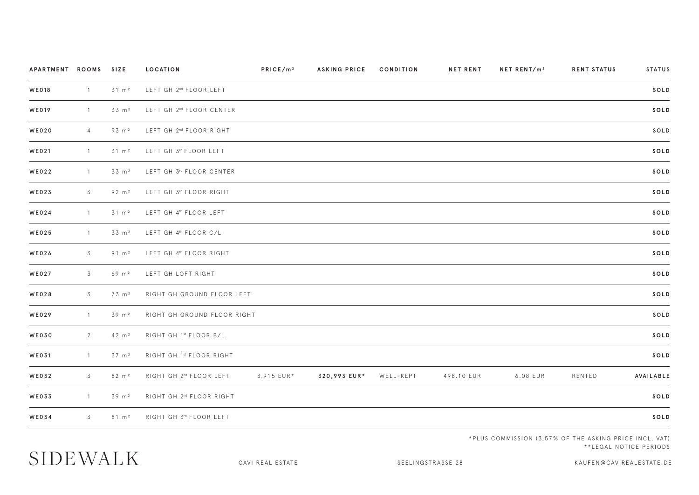| APARTMENT ROOMS SIZE |                |                   | <b>LOCATION</b>                      | PRICE/m <sup>2</sup> | <b>ASKING PRICE</b> | CONDITION | <b>NET RENT</b> | NET RENT/m <sup>2</sup> | <b>RENT STATUS</b> | STATUS    |
|----------------------|----------------|-------------------|--------------------------------------|----------------------|---------------------|-----------|-----------------|-------------------------|--------------------|-----------|
| <b>WE018</b>         | $\overline{1}$ | $31 \, m2$        | LEFT GH 2 <sup>nd</sup> FLOOR LEFT   |                      |                     |           |                 |                         |                    | SOLD      |
| <b>WE019</b>         | $\overline{1}$ | 33 m <sup>2</sup> | LEFT GH 2 <sup>nd</sup> FLOOR CENTER |                      |                     |           |                 |                         |                    | SOLD      |
| <b>WE020</b>         | $\overline{4}$ | 93 m <sup>2</sup> | LEFT GH 2 <sup>nd</sup> FLOOR RIGHT  |                      |                     |           |                 |                         |                    | SOLD      |
| WE021                | $\overline{1}$ | $31 \, m2$        | LEFT GH 3rd FLOOR LEFT               |                      |                     |           |                 |                         |                    | SOLD      |
| <b>WE022</b>         | $\mathbf{1}$   | 33 m <sup>2</sup> | LEFT GH 3rd FLOOR CENTER             |                      |                     |           |                 |                         |                    | SOLD      |
| <b>WE023</b>         | 3              | 92 m <sup>2</sup> | LEFT GH 3rd FLOOR RIGHT              |                      |                     |           |                 |                         |                    | SOLD      |
| <b>WE024</b>         | $\overline{1}$ | $31 \, m2$        | LEFT GH 4th FLOOR LEFT               |                      |                     |           |                 |                         |                    | SOLD      |
| <b>WE025</b>         | $\overline{1}$ | 33 m <sup>2</sup> | LEFT GH 4 <sup>th</sup> FLOOR C/L    |                      |                     |           |                 |                         |                    | SOLD      |
| <b>WE026</b>         | 3              | $91 \, m^2$       | LEFT GH 4th FLOOR RIGHT              |                      |                     |           |                 |                         |                    | SOLD      |
| <b>WE027</b>         | 3              | $69 \, m^2$       | LEFT GH LOFT RIGHT                   |                      |                     |           |                 |                         |                    | SOLD      |
| <b>WE028</b>         | 3              | 73 m <sup>2</sup> | RIGHT GH GROUND FLOOR LEFT           |                      |                     |           |                 |                         |                    | SOLD      |
| <b>WE029</b>         | $\overline{1}$ | 39 m <sup>2</sup> | RIGHT GH GROUND FLOOR RIGHT          |                      |                     |           |                 |                         |                    | SOLD      |
| <b>WE030</b>         | 2              | $42 \, m2$        | RIGHT GH 1st FLOOR B/L               |                      |                     |           |                 |                         |                    | SOLD      |
| WE031                | $\overline{1}$ | $37 \, m2$        | RIGHT GH 1st FLOOR RIGHT             |                      |                     |           |                 |                         |                    | SOLD      |
| <b>WE032</b>         | 3              | $82 \, m^2$       | RIGHT GH 2 <sup>nd</sup> FLOOR LEFT  | 3,915 EUR*           | 320,993 EUR*        | WELL-KEPT | 498.10 EUR      | 6.08 EUR                | RENTED             | AVAILABLE |
| <b>WE033</b>         | $\overline{1}$ | 39 m <sup>2</sup> | RIGHT GH 2 <sup>nd</sup> FLOOR RIGHT |                      |                     |           |                 |                         |                    | SOLD      |
| <b>WE034</b>         | 3              | $81 \, m^2$       | RIGHT GH 3rd FLOOR LEFT              |                      |                     |           |                 |                         |                    | SOLD      |
|                      |                |                   |                                      |                      |                     |           |                 |                         |                    |           |

\*PLUS COMMISSION (3,57% OF THE ASKING PRICE INCL, VAT) \*\*LEGAL NOTICE PERIODS

## SIDEWALK